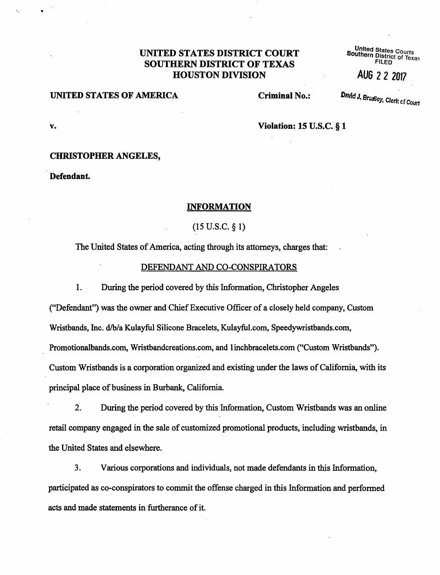## UNITED STATES DISTRICT COURT <sup>United</sup> States Courts<br>
Soluthern District of Texas<br>
FILED FILED **SOUTHERN DISTRICT OF TEXAS HOUSTON DIVISION** AUG 22 <sup>2017</sup>

# **UNITED STATES OF AMERICA** Criminal No.: David J. Brasley, Clerk of Court

..

**v. Violation: 15 U.S.C.** § **1** 

### **CHRISTOPHER ANGELES,**

**Defendant.** 

#### **INFORMATION**

 $(15 \text{ U.S.C.} \S 1)$ 

The United States of America, acting through its attorneys, charges that:

#### DEFENDANT AND CO-CONSPIRATORS

1. During the period covered by this Information, Christopher Angeles

("Defendant") was the owner and Chief Executive Officer of a closely held company, Custom Wristbands, Inc. d/b/a Kulayful Silicone Bracelets,. Kulayful.com, Speedywristbands.com, Promotionalbands.com, Wristbandcreations.com, and 1 inchbracelets.com ("Custom Wristbands"). Custom Wristbands is a corporation organized and existing under the laws of California, with its principal place of business in Burbank, California.

2. During the period covered by this Information, Custom Wristbands was an online retail company engaged in the sale of customized promotional products, including wristbands, in the United States and elsewhere.

3. Various corporations and individuals, not made defendants in this Information, participated as co-conspirators to commit the offense charged in this Information and performed acts and made statements in furtherance of it.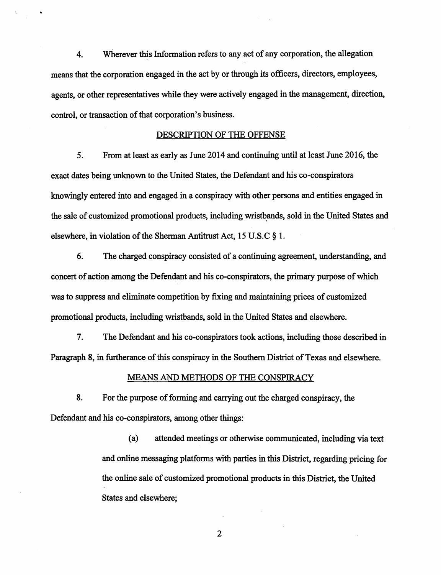4. Wherever this Information refers to any act of any corporation, the allegation means that the corporation engaged in the act by or through its officers, directors, employees, agents, or other representatives while they were actively engaged in the management, direction, control, or transaction of that corporation's business.

#### DESCRIPTION OF THE OFFENSE

*5.* From at least as early as June 2014 and continuing until at least June 2016, the exact dates being unknown to the United States, the Defendant and his co-conspirators knowingly entered into and engaged in a conspiracy with other persons and entities engaged in the sale of customized promotional products, including wristbands, sold in the United States and elsewhere, in violation of the Sherman Antitrust Act, 15 U.S.C § 1.

6. The charged conspiracy consisted of a continuing agreement, understanding, and concert of action among the Defendant and his co-conspirators, the primary purpose of which was to suppress and eliminate competition by fixing and maintaining prices of customized promotional products, including wristbands, sold in the United States and elsewhere.

7. The Defendant and his co-conspirators took actions, including those described in Paragraph 8, in furtherance of this conspiracy in the Southern District of Texas and elsewhere.

### MEANS AND METHODS OF THE CONSPIRACY

8. For the purpose of forming and carrying out the charged conspiracy, the Defendant and his co-conspirators, among other things:

> (a) attended meetings or otherwise communicated, including via text and online messaging platforms with parties in this District, regarding pricing for the online sale of customized promotional products in this District, the United States and elsewhere;

> > 2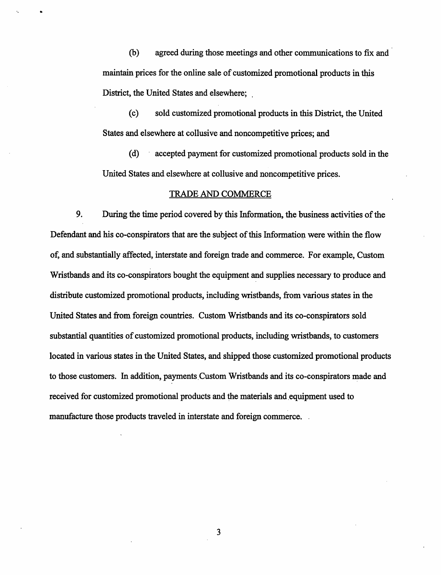(b) agreed during those meetings and other communications to fix and maintain prices for the online sale of customized promotional products in this District, the United States and elsewhere; .

(c) sold customized promotional products in this District, the United States and elsewhere at collusive and noncompetitive prices; and

(d) · accepted payment for customized promotional products sold in the United States and elsewhere at collusive and noncompetitive prices.

#### TRADE AND COMMERCE

9. During the time period covered by this Information, the business activities of the Defendant and his co-conspirators that are the subject of this Information were within the flow of, and substantially affected, interstate and foreign trade and commerce. For example, Custom Wristbands and its co-conspirators bought the equipment and supplies necessary to produce and distribute customized promotional products, including wristbands, from various states in the United States and from foreign countries. Custom Wristbands and its co-conspirators sold substantial quantities of customized promotional products, including wristbands, to customers located in various states in the United States, and shipped those customized promotional products to those customers. In addition, payments. Custom Wristbands and its co-conspirators made and received for customized promotional products and the materials and equipment used to manufacture those products traveled in interstate and foreign commerce.

3